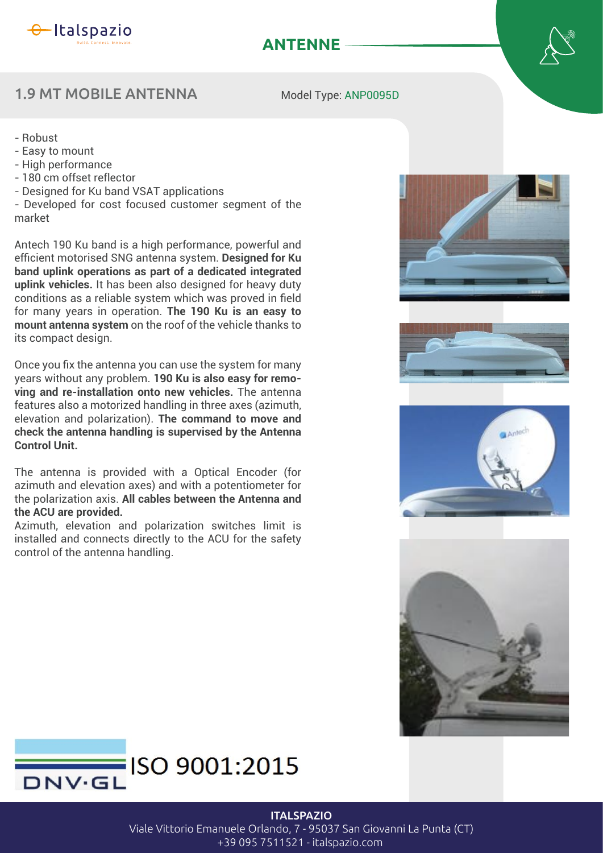

# **ANTENNE**

### 1.9 MT MOBILE ANTENNA

Model Type: ANP0095D

- Robust
- Easy to mount
- High performance
- 180 cm offset reflector
- Designed for Ku band VSAT applications

- Developed for cost focused customer segment of the market

Antech 190 Ku band is a high performance, powerful and efficient motorised SNG antenna system. Designed for Ku **band uplink operations as part of a dedicated integrated uplink vehicles.** It has been also designed for heavy duty conditions as a reliable system which was proved in field for many years in operation. **The 190 Ku is an easy to mount antenna system** on the roof of the vehicle thanks to its compact design.

Once you fix the antenna you can use the system for many years without any problem. **190 Ku is also easy for removing and re-installation onto new vehicles.** The antenna features also a motorized handling in three axes (azimuth, elevation and polarization). **The command to move and check the antenna handling is supervised by the Antenna Control Unit.**

The antenna is provided with a Optical Encoder (for azimuth and elevation axes) and with a potentiometer for the polarization axis. **All cables between the Antenna and the ACU are provided.**

Azimuth, elevation and polarization switches limit is installed and connects directly to the ACU for the safety control of the antenna handling.











#### **ITALSPAZIO**

Viale Vittorio Emanuele Orlando, 7 - 95037 San Giovanni La Punta (CT) +39 095 7511521 - italspazio.com